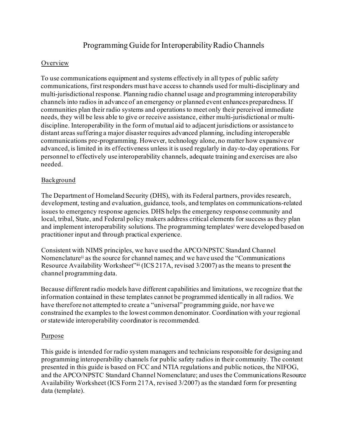# Programming Guide for Interoperability Radio Channels

## Overview

To use communications equipment and systems effectively in all types of public safety communications, first responders must have access to channels used for multi-disciplinary and multi-jurisdictional response. Planning radio channel usage and programming interoperability channels into radios in advance of an emergency or planned event enhances preparedness. If communities plan their radio systems and operations to meet only their perceived immediate needs, they will be less able to give or receive assistance, either multi-jurisdictional or multidiscipline. Interoperability in the form of mutual aid to adjacent jurisdictions or assistance to distant areas suffering a major disaster requires advanced planning, including interoperable communications pre-programming. However, technology alone, no matter how expansive or advanced, is limited in its effectiveness unless it is used regularly in day-to-day operations. For personnel to effectively use interoperability channels, adequate training and exercises are also needed.

## Background

The Department of Homeland Security (DHS), with its Federal partners, provides research, development, testing and evaluation, guidance, tools, and templates on communications-related issues to emergency response agencies. DHS helps the emergency response community and local, tribal, State, and Federal policy makers address critical elements for success as they plan and implement interoperability solutions. The programming template[si](#page-2-0) were developed based on practitioner input and through practical experience.

Consistent with NIMS principles, we have used the APCO/NPSTC Standard Channel Nomenclatur[eii](#page-2-1) as the source for channel names; and we have used the "Communications Resource Availability Workshee[t"iii](#page-2-2) (ICS 217A, revised 3/2007) as the means to present the channel programming data.

Because different radio models have different capabilities and limitations, we recognize that the information contained in these templates cannot be programmed identically in all radios. We have therefore not attempted to create a "universal" programming guide, nor have we constrained the examples to the lowest common denominator. Coordination with your regional or statewide interoperability coordinator is recommended.

#### **Purpose**

This guide is intended for radio system managers and technicians responsible for designing and programming interoperability channels for public safety radios in their community. The content presented in this guide is based on FCC and NTIA regulations and public notices, the NIFOG, and the APCO/NPSTC Standard Channel Nomenclature; and uses the Communications Resource Availability Worksheet (ICS Form 217A, revised 3/2007) as the standard form for presenting data (template).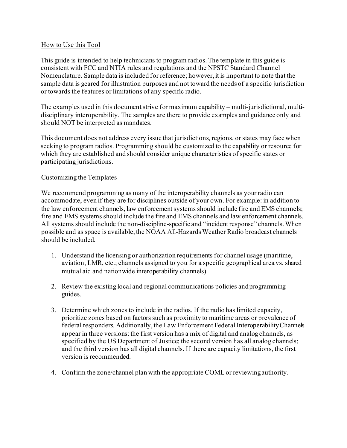## How to Use this Tool

This guide is intended to help technicians to program radios. The template in this guide is consistent with FCC and NTIA rules and regulations and the NPSTC Standard Channel Nomenclature. Sample data is included for reference; however, it is important to note that the sample data is geared for illustration purposes and not toward the needs of a specific jurisdiction or towards the features or limitations of any specific radio.

The examples used in this document strive for maximum capability – multi-jurisdictional, multidisciplinary interoperability. The samples are there to provide examples and guidance only and should NOT be interpreted as mandates.

This document does not address every issue that jurisdictions, regions, or states may face when seeking to program radios. Programming should be customized to the capability or resource for which they are established and should consider unique characteristics of specific states or participating jurisdictions.

### Customizing the Templates

We recommend programming as many of the interoperability channels as your radio can accommodate, even if they are for disciplines outside of your own. For example: in addition to the law enforcement channels, law enforcement systems should include fire and EMS channels; fire and EMS systems should include the fire and EMS channels and law enforcement channels. All systems should include the non-discipline-specific and "incident response" channels. When possible and as space is available, the NOAA All-Hazards Weather Radio broadcast channels should be included.

- 1. Understand the licensing or authorization requirements for channel usage (maritime, aviation, LMR, etc.; channels assigned to you for a specific geographical area vs. shared mutual aid and nationwide interoperability channels)
- 2. Review the existing local and regional communications policies andprogramming guides.
- 3. Determine which zones to include in the radios. If the radio has limited capacity, prioritize zones based on factors such as proximity to maritime areas or prevalence of federal responders. Additionally, the Law Enforcement Federal InteroperabilityChannels appear in three versions: the first version has a mix of digital and analog channels, as specified by the US Department of Justice; the second version has all analog channels; and the third version has all digital channels. If there are capacity limitations, the first version is recommended.
- 4. Confirm the zone/channel plan with the appropriate COML or reviewingauthority.